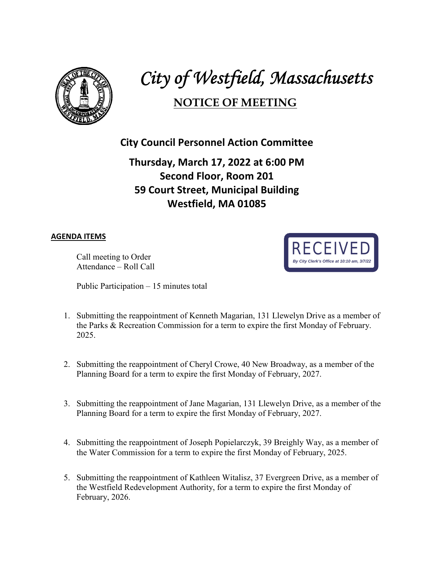

# *City of Westfield, Massachusetts*

## **NOTICE OF MEETING**

#### **City Council Personnel Action Committee**

### **Thursday, March 17, 2022 at 6:00 PM Second Floor, Room 201 59 Court Street, Municipal Building Westfield, MA 01085**

#### **AGENDA ITEMS**

Call meeting to Order Attendance – Roll Call

Public Participation – 15 minutes total



- 1. Submitting the reappointment of Kenneth Magarian, 131 Llewelyn Drive as a member of the Parks & Recreation Commission for a term to expire the first Monday of February. 2025.
- 2. Submitting the reappointment of Cheryl Crowe, 40 New Broadway, as a member of the Planning Board for a term to expire the first Monday of February, 2027.
- 3. Submitting the reappointment of Jane Magarian, 131 Llewelyn Drive, as a member of the Planning Board for a term to expire the first Monday of February, 2027.
- 4. Submitting the reappointment of Joseph Popielarczyk, 39 Breighly Way, as a member of the Water Commission for a term to expire the first Monday of February, 2025.
- 5. Submitting the reappointment of Kathleen Witalisz, 37 Evergreen Drive, as a member of the Westfield Redevelopment Authority, for a term to expire the first Monday of February, 2026.